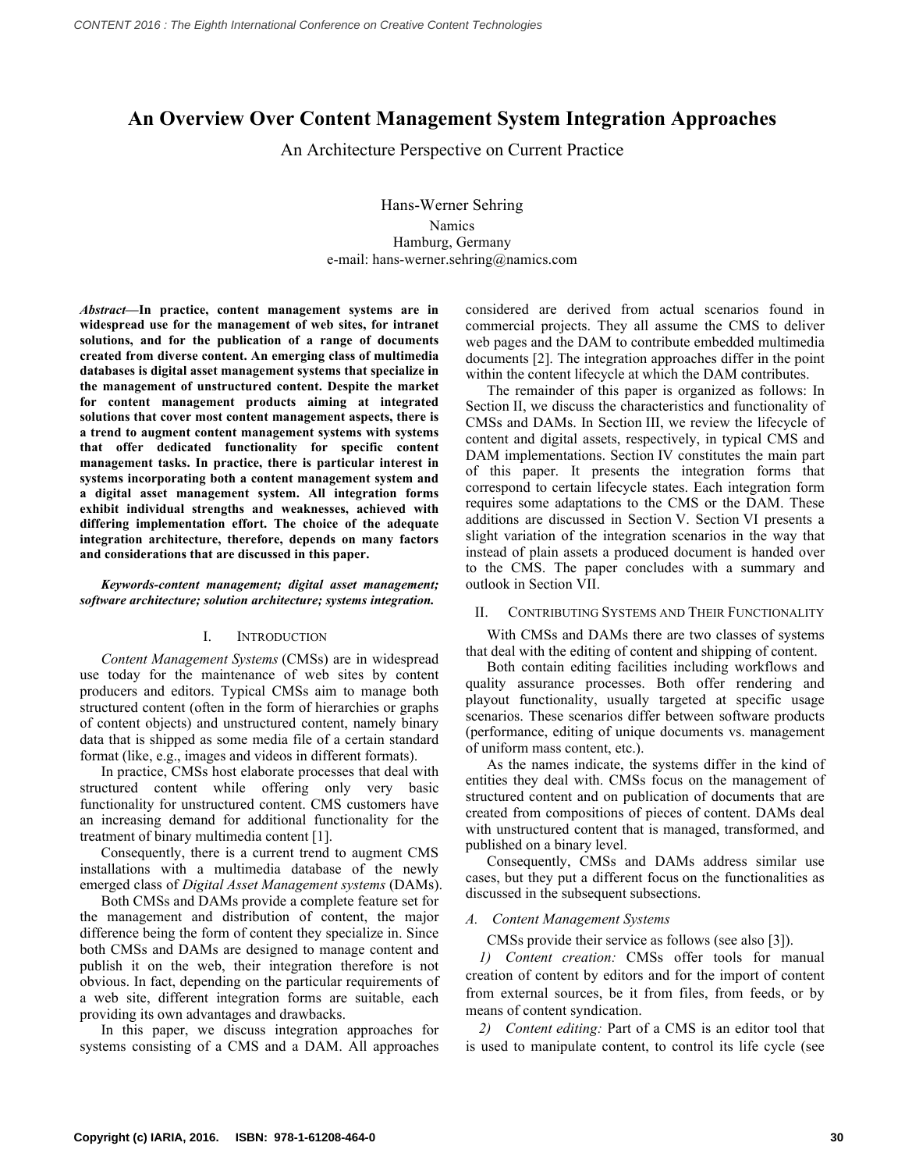# **An Overview Over Content Management System Integration Approaches**

An Architecture Perspective on Current Practice

Hans-Werner Sehring Namics Hamburg, Germany e-mail: hans-werner.sehring@namics.com

*Abstract***—In practice, content management systems are in widespread use for the management of web sites, for intranet solutions, and for the publication of a range of documents created from diverse content. An emerging class of multimedia databases is digital asset management systems that specialize in the management of unstructured content. Despite the market for content management products aiming at integrated solutions that cover most content management aspects, there is a trend to augment content management systems with systems that offer dedicated functionality for specific content management tasks. In practice, there is particular interest in systems incorporating both a content management system and a digital asset management system. All integration forms exhibit individual strengths and weaknesses, achieved with differing implementation effort. The choice of the adequate integration architecture, therefore, depends on many factors and considerations that are discussed in this paper.**

*Keywords-content management; digital asset management; software architecture; solution architecture; systems integration.*

#### I. INTRODUCTION

*Content Management Systems* (CMSs) are in widespread use today for the maintenance of web sites by content producers and editors. Typical CMSs aim to manage both structured content (often in the form of hierarchies or graphs of content objects) and unstructured content, namely binary data that is shipped as some media file of a certain standard format (like, e.g., images and videos in different formats).

In practice, CMSs host elaborate processes that deal with structured content while offering only very basic functionality for unstructured content. CMS customers have an increasing demand for additional functionality for the treatment of binary multimedia content [1].

Consequently, there is a current trend to augment CMS installations with a multimedia database of the newly emerged class of *Digital Asset Management systems* (DAMs).

Both CMSs and DAMs provide a complete feature set for the management and distribution of content, the major difference being the form of content they specialize in. Since both CMSs and DAMs are designed to manage content and publish it on the web, their integration therefore is not obvious. In fact, depending on the particular requirements of a web site, different integration forms are suitable, each providing its own advantages and drawbacks.

In this paper, we discuss integration approaches for systems consisting of a CMS and a DAM. All approaches considered are derived from actual scenarios found in commercial projects. They all assume the CMS to deliver web pages and the DAM to contribute embedded multimedia documents [2]. The integration approaches differ in the point within the content lifecycle at which the DAM contributes.

The remainder of this paper is organized as follows: In Section II, we discuss the characteristics and functionality of CMSs and DAMs. In Section III, we review the lifecycle of content and digital assets, respectively, in typical CMS and DAM implementations. Section IV constitutes the main part of this paper. It presents the integration forms that correspond to certain lifecycle states. Each integration form requires some adaptations to the CMS or the DAM. These additions are discussed in Section V. Section VI presents a slight variation of the integration scenarios in the way that instead of plain assets a produced document is handed over to the CMS. The paper concludes with a summary and outlook in Section VII.

#### II. CONTRIBUTING SYSTEMS AND THEIR FUNCTIONALITY

With CMSs and DAMs there are two classes of systems that deal with the editing of content and shipping of content.

Both contain editing facilities including workflows and quality assurance processes. Both offer rendering and playout functionality, usually targeted at specific usage scenarios. These scenarios differ between software products (performance, editing of unique documents vs. management of uniform mass content, etc.).

As the names indicate, the systems differ in the kind of entities they deal with. CMSs focus on the management of structured content and on publication of documents that are created from compositions of pieces of content. DAMs deal with unstructured content that is managed, transformed, and published on a binary level.

Consequently, CMSs and DAMs address similar use cases, but they put a different focus on the functionalities as discussed in the subsequent subsections.

#### *A. Content Management Systems*

CMSs provide their service as follows (see also [3]).

*1) Content creation:* CMSs offer tools for manual creation of content by editors and for the import of content from external sources, be it from files, from feeds, or by means of content syndication.

*2) Content editing:* Part of a CMS is an editor tool that is used to manipulate content, to control its life cycle (see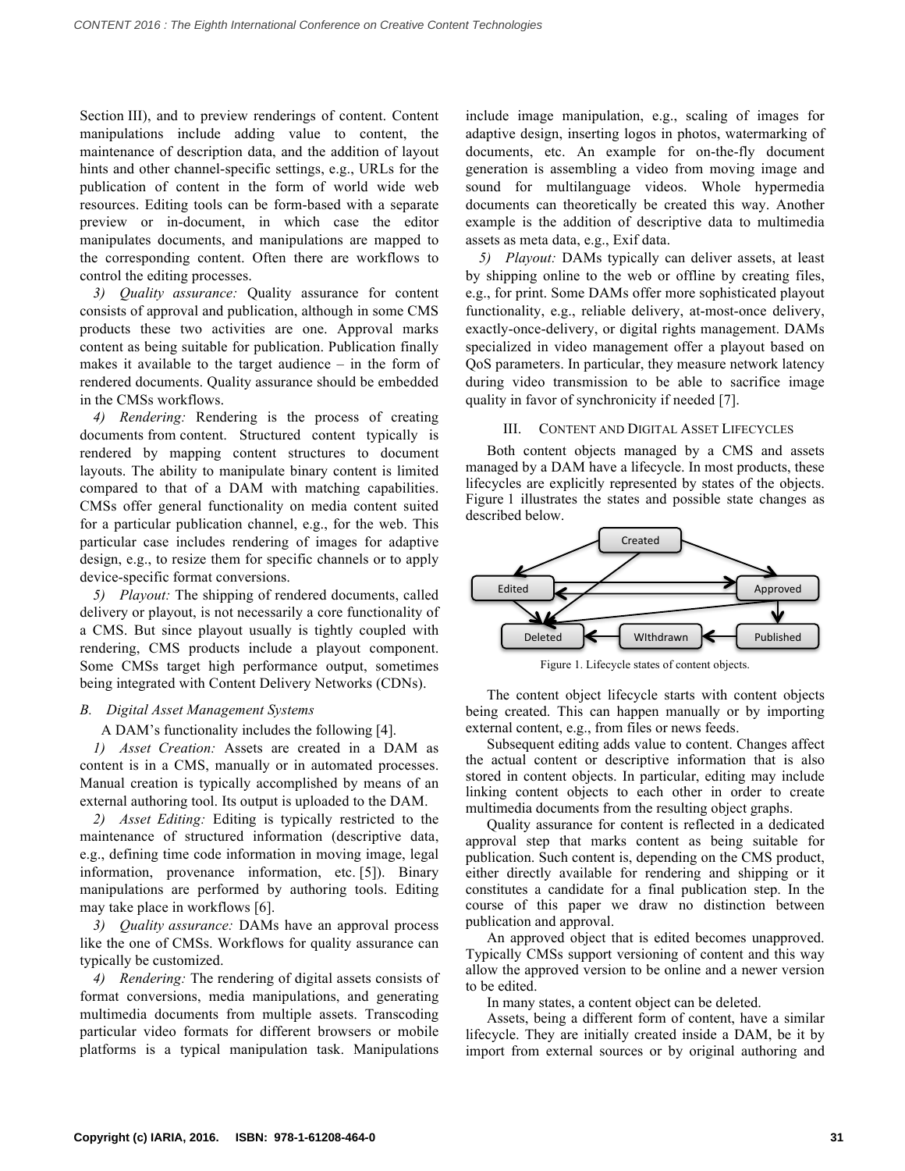Section III), and to preview renderings of content. Content manipulations include adding value to content, the maintenance of description data, and the addition of layout hints and other channel-specific settings, e.g., URLs for the publication of content in the form of world wide web resources. Editing tools can be form-based with a separate preview or in-document, in which case the editor manipulates documents, and manipulations are mapped to the corresponding content. Often there are workflows to control the editing processes.

*3) Quality assurance:* Quality assurance for content consists of approval and publication, although in some CMS products these two activities are one. Approval marks content as being suitable for publication. Publication finally makes it available to the target audience – in the form of rendered documents. Quality assurance should be embedded in the CMSs workflows.

*4) Rendering:* Rendering is the process of creating documents from content. Structured content typically is rendered by mapping content structures to document layouts. The ability to manipulate binary content is limited compared to that of a DAM with matching capabilities. CMSs offer general functionality on media content suited for a particular publication channel, e.g., for the web. This particular case includes rendering of images for adaptive design, e.g., to resize them for specific channels or to apply device-specific format conversions.

*5) Playout:* The shipping of rendered documents, called delivery or playout, is not necessarily a core functionality of a CMS. But since playout usually is tightly coupled with rendering, CMS products include a playout component. Some CMSs target high performance output, sometimes being integrated with Content Delivery Networks (CDNs).

# *B. Digital Asset Management Systems*

A DAM's functionality includes the following [4].

*1) Asset Creation:* Assets are created in a DAM as content is in a CMS, manually or in automated processes. Manual creation is typically accomplished by means of an external authoring tool. Its output is uploaded to the DAM.

*2) Asset Editing:* Editing is typically restricted to the maintenance of structured information (descriptive data, e.g., defining time code information in moving image, legal information, provenance information, etc. [5]). Binary manipulations are performed by authoring tools. Editing may take place in workflows [6].

*3) Quality assurance:* DAMs have an approval process like the one of CMSs. Workflows for quality assurance can typically be customized.

*4) Rendering:* The rendering of digital assets consists of format conversions, media manipulations, and generating multimedia documents from multiple assets. Transcoding particular video formats for different browsers or mobile platforms is a typical manipulation task. Manipulations

include image manipulation, e.g., scaling of images for adaptive design, inserting logos in photos, watermarking of documents, etc. An example for on-the-fly document generation is assembling a video from moving image and sound for multilanguage videos. Whole hypermedia documents can theoretically be created this way. Another example is the addition of descriptive data to multimedia assets as meta data, e.g., Exif data.

*5) Playout:* DAMs typically can deliver assets, at least by shipping online to the web or offline by creating files, e.g., for print. Some DAMs offer more sophisticated playout functionality, e.g., reliable delivery, at-most-once delivery, exactly-once-delivery, or digital rights management. DAMs specialized in video management offer a playout based on QoS parameters. In particular, they measure network latency during video transmission to be able to sacrifice image quality in favor of synchronicity if needed [7].

### III. CONTENT AND DIGITAL ASSET LIFECYCLES

Both content objects managed by a CMS and assets managed by a DAM have a lifecycle. In most products, these lifecycles are explicitly represented by states of the objects. Figure 1 illustrates the states and possible state changes as described below.



Figure 1. Lifecycle states of content objects.

The content object lifecycle starts with content objects being created. This can happen manually or by importing external content, e.g., from files or news feeds.

Subsequent editing adds value to content. Changes affect the actual content or descriptive information that is also stored in content objects. In particular, editing may include linking content objects to each other in order to create multimedia documents from the resulting object graphs.

Quality assurance for content is reflected in a dedicated approval step that marks content as being suitable for publication. Such content is, depending on the CMS product, either directly available for rendering and shipping or it constitutes a candidate for a final publication step. In the course of this paper we draw no distinction between publication and approval.

An approved object that is edited becomes unapproved. Typically CMSs support versioning of content and this way allow the approved version to be online and a newer version to be edited.

In many states, a content object can be deleted.

Assets, being a different form of content, have a similar lifecycle. They are initially created inside a DAM, be it by import from external sources or by original authoring and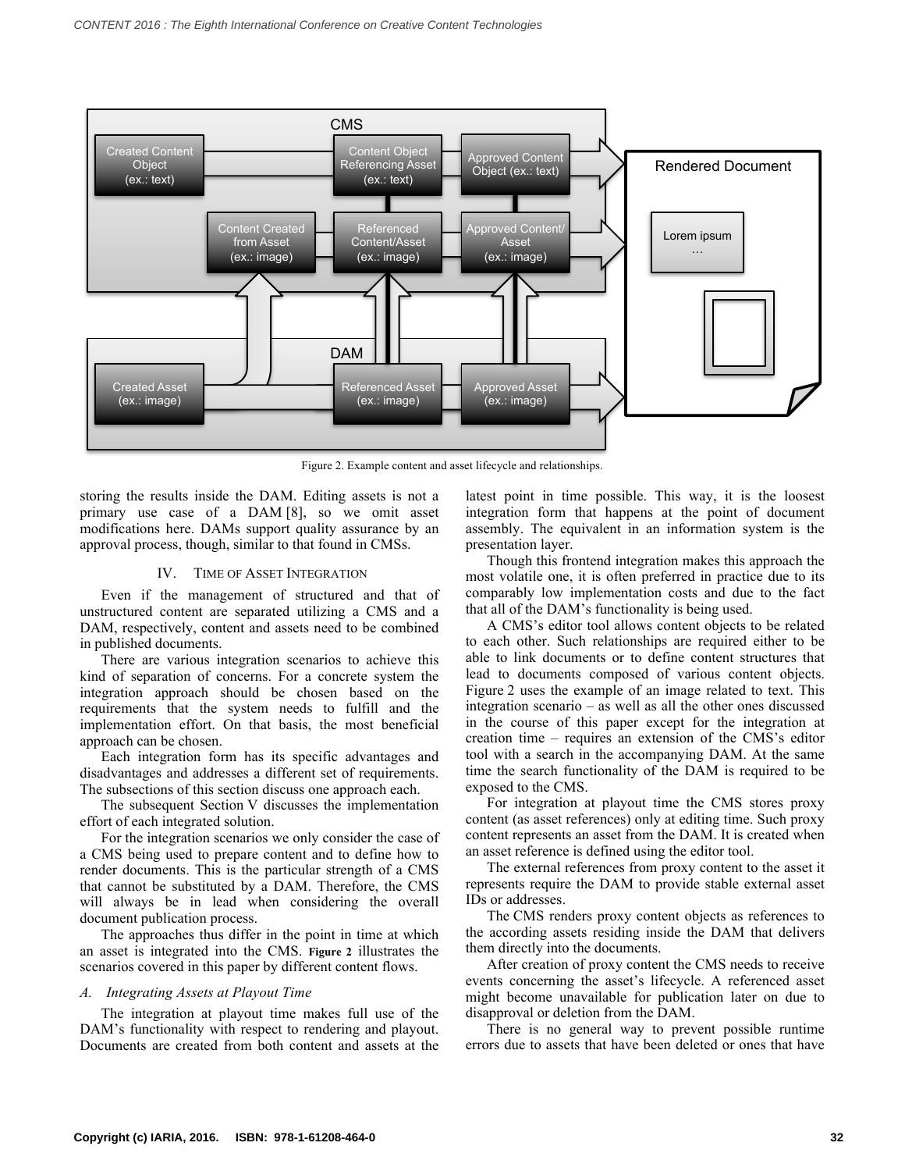

Figure 2. Example content and asset lifecycle and relationships.

storing the results inside the DAM. Editing assets is not a primary use case of a DAM [8], so we omit asset modifications here. DAMs support quality assurance by an approval process, though, similar to that found in CMSs.

#### IV. TIME OF ASSET INTEGRATION

Even if the management of structured and that of unstructured content are separated utilizing a CMS and a DAM, respectively, content and assets need to be combined in published documents.

There are various integration scenarios to achieve this kind of separation of concerns. For a concrete system the integration approach should be chosen based on the requirements that the system needs to fulfill and the implementation effort. On that basis, the most beneficial approach can be chosen.

Each integration form has its specific advantages and disadvantages and addresses a different set of requirements. The subsections of this section discuss one approach each.

The subsequent Section V discusses the implementation effort of each integrated solution.

For the integration scenarios we only consider the case of a CMS being used to prepare content and to define how to render documents. This is the particular strength of a CMS that cannot be substituted by a DAM. Therefore, the CMS will always be in lead when considering the overall document publication process.

The approaches thus differ in the point in time at which an asset is integrated into the CMS. **Figure 2** illustrates the scenarios covered in this paper by different content flows.

# *A. Integrating Assets at Playout Time*

The integration at playout time makes full use of the DAM's functionality with respect to rendering and playout. Documents are created from both content and assets at the latest point in time possible. This way, it is the loosest integration form that happens at the point of document assembly. The equivalent in an information system is the presentation layer.

Though this frontend integration makes this approach the most volatile one, it is often preferred in practice due to its comparably low implementation costs and due to the fact that all of the DAM's functionality is being used.

A CMS's editor tool allows content objects to be related to each other. Such relationships are required either to be able to link documents or to define content structures that lead to documents composed of various content objects. Figure 2 uses the example of an image related to text. This integration scenario – as well as all the other ones discussed in the course of this paper except for the integration at creation time – requires an extension of the CMS's editor tool with a search in the accompanying DAM. At the same time the search functionality of the DAM is required to be exposed to the CMS.

For integration at playout time the CMS stores proxy content (as asset references) only at editing time. Such proxy content represents an asset from the DAM. It is created when an asset reference is defined using the editor tool.

The external references from proxy content to the asset it represents require the DAM to provide stable external asset IDs or addresses.

The CMS renders proxy content objects as references to the according assets residing inside the DAM that delivers them directly into the documents.

After creation of proxy content the CMS needs to receive events concerning the asset's lifecycle. A referenced asset might become unavailable for publication later on due to disapproval or deletion from the DAM.

There is no general way to prevent possible runtime errors due to assets that have been deleted or ones that have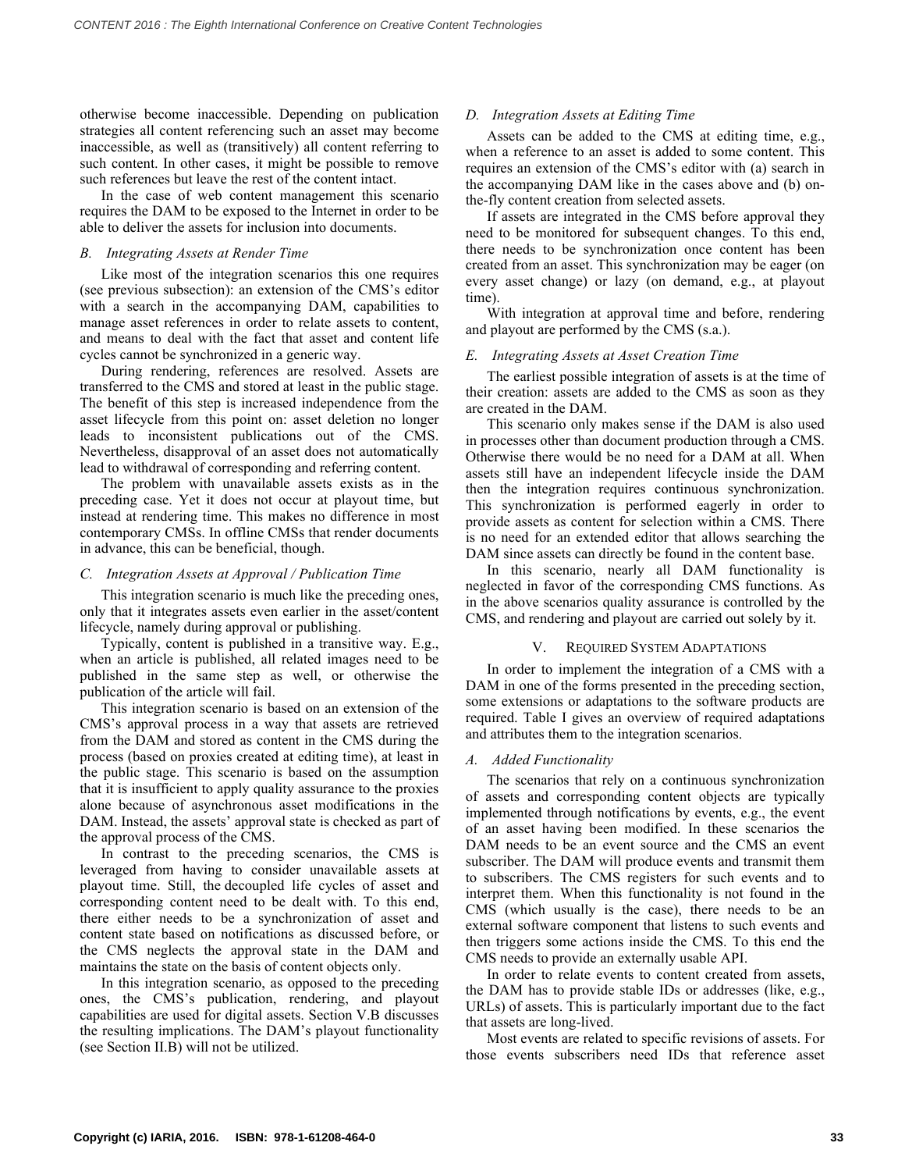otherwise become inaccessible. Depending on publication strategies all content referencing such an asset may become inaccessible, as well as (transitively) all content referring to such content. In other cases, it might be possible to remove such references but leave the rest of the content intact.

In the case of web content management this scenario requires the DAM to be exposed to the Internet in order to be able to deliver the assets for inclusion into documents.

### *B. Integrating Assets at Render Time*

Like most of the integration scenarios this one requires (see previous subsection): an extension of the CMS's editor with a search in the accompanying DAM, capabilities to manage asset references in order to relate assets to content, and means to deal with the fact that asset and content life cycles cannot be synchronized in a generic way.

During rendering, references are resolved. Assets are transferred to the CMS and stored at least in the public stage. The benefit of this step is increased independence from the asset lifecycle from this point on: asset deletion no longer leads to inconsistent publications out of the CMS. Nevertheless, disapproval of an asset does not automatically lead to withdrawal of corresponding and referring content.

The problem with unavailable assets exists as in the preceding case. Yet it does not occur at playout time, but instead at rendering time. This makes no difference in most contemporary CMSs. In offline CMSs that render documents in advance, this can be beneficial, though.

# *C. Integration Assets at Approval / Publication Time*

This integration scenario is much like the preceding ones, only that it integrates assets even earlier in the asset/content lifecycle, namely during approval or publishing.

Typically, content is published in a transitive way. E.g., when an article is published, all related images need to be published in the same step as well, or otherwise the publication of the article will fail.

This integration scenario is based on an extension of the CMS's approval process in a way that assets are retrieved from the DAM and stored as content in the CMS during the process (based on proxies created at editing time), at least in the public stage. This scenario is based on the assumption that it is insufficient to apply quality assurance to the proxies alone because of asynchronous asset modifications in the DAM. Instead, the assets' approval state is checked as part of the approval process of the CMS.

In contrast to the preceding scenarios, the CMS is leveraged from having to consider unavailable assets at playout time. Still, the decoupled life cycles of asset and corresponding content need to be dealt with. To this end, there either needs to be a synchronization of asset and content state based on notifications as discussed before, or the CMS neglects the approval state in the DAM and maintains the state on the basis of content objects only.

In this integration scenario, as opposed to the preceding ones, the CMS's publication, rendering, and playout capabilities are used for digital assets. Section V.B discusses the resulting implications. The DAM's playout functionality (see Section II.B) will not be utilized.

# *D. Integration Assets at Editing Time*

Assets can be added to the CMS at editing time, e.g., when a reference to an asset is added to some content. This requires an extension of the CMS's editor with (a) search in the accompanying DAM like in the cases above and (b) onthe-fly content creation from selected assets.

If assets are integrated in the CMS before approval they need to be monitored for subsequent changes. To this end, there needs to be synchronization once content has been created from an asset. This synchronization may be eager (on every asset change) or lazy (on demand, e.g., at playout time).

With integration at approval time and before, rendering and playout are performed by the CMS (s.a.).

# *E. Integrating Assets at Asset Creation Time*

The earliest possible integration of assets is at the time of their creation: assets are added to the CMS as soon as they are created in the DAM.

This scenario only makes sense if the DAM is also used in processes other than document production through a CMS. Otherwise there would be no need for a DAM at all. When assets still have an independent lifecycle inside the DAM then the integration requires continuous synchronization. This synchronization is performed eagerly in order to provide assets as content for selection within a CMS. There is no need for an extended editor that allows searching the DAM since assets can directly be found in the content base.

In this scenario, nearly all DAM functionality is neglected in favor of the corresponding CMS functions. As in the above scenarios quality assurance is controlled by the CMS, and rendering and playout are carried out solely by it.

# V. REQUIRED SYSTEM ADAPTATIONS

In order to implement the integration of a CMS with a DAM in one of the forms presented in the preceding section, some extensions or adaptations to the software products are required. Table I gives an overview of required adaptations and attributes them to the integration scenarios.

# *A. Added Functionality*

The scenarios that rely on a continuous synchronization of assets and corresponding content objects are typically implemented through notifications by events, e.g., the event of an asset having been modified. In these scenarios the DAM needs to be an event source and the CMS an event subscriber. The DAM will produce events and transmit them to subscribers. The CMS registers for such events and to interpret them. When this functionality is not found in the CMS (which usually is the case), there needs to be an external software component that listens to such events and then triggers some actions inside the CMS. To this end the CMS needs to provide an externally usable API.

In order to relate events to content created from assets, the DAM has to provide stable IDs or addresses (like, e.g., URLs) of assets. This is particularly important due to the fact that assets are long-lived.

Most events are related to specific revisions of assets. For those events subscribers need IDs that reference asset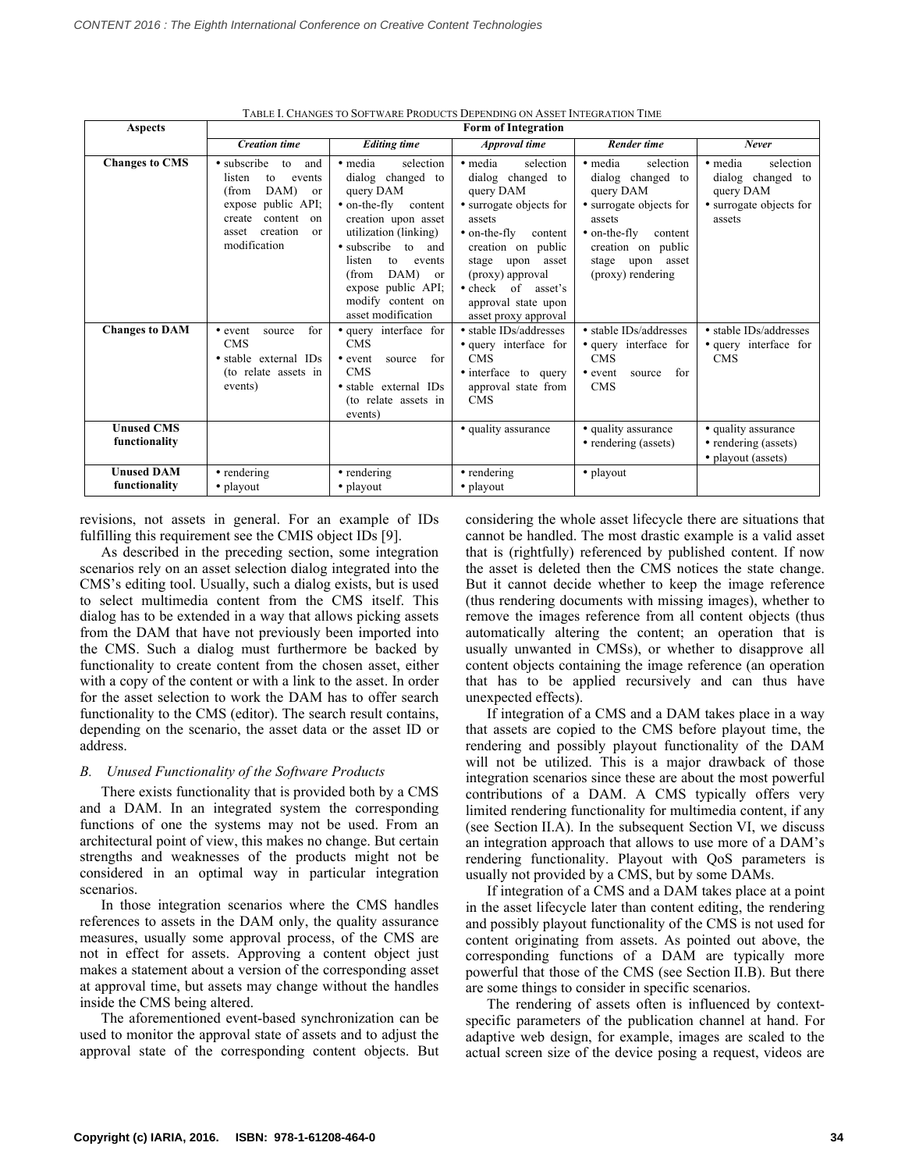| <b>Aspects</b>                     | TABLE I. CHANGES TO SOFTWARE FRODUCTS DEPENDING ON ASSET INTEGRATION TIME<br><b>Form of Integration</b>                                                                                   |                                                                                                                                                                                                                                                                                   |                                                                                                                                                                                                                                                                                       |                                                                                                                                                                                                     |                                                                                             |
|------------------------------------|-------------------------------------------------------------------------------------------------------------------------------------------------------------------------------------------|-----------------------------------------------------------------------------------------------------------------------------------------------------------------------------------------------------------------------------------------------------------------------------------|---------------------------------------------------------------------------------------------------------------------------------------------------------------------------------------------------------------------------------------------------------------------------------------|-----------------------------------------------------------------------------------------------------------------------------------------------------------------------------------------------------|---------------------------------------------------------------------------------------------|
|                                    | <b>Creation time</b>                                                                                                                                                                      | <b>Editing time</b>                                                                                                                                                                                                                                                               | Approval time                                                                                                                                                                                                                                                                         | <b>Render time</b>                                                                                                                                                                                  | Never                                                                                       |
| <b>Changes to CMS</b>              | • subscribe<br>to<br>and<br>listen<br>events<br>to<br>DAM)<br>(from<br><sub>or</sub><br>public API;<br>expose<br>content<br>create<br>on<br>creation<br>asset<br>$\alpha$<br>modification | • media<br>selection<br>dialog changed to<br>query DAM<br>$\bullet$ on-the-fly<br>content<br>creation upon asset<br>utilization (linking)<br>• subscribe to and<br>listen<br>to<br>events<br>DAM)<br>(from<br>or<br>expose public API;<br>modify content on<br>asset modification | • media<br>selection<br>dialog changed to<br>query DAM<br>• surrogate objects for<br>assets<br>$\bullet$ on-the-fly<br>content<br>creation on public<br>upon<br>asset<br>stage<br>(proxy) approval<br>$\bullet$ check<br>of<br>asset's<br>approval state upon<br>asset proxy approval | · media<br>selection<br>dialog changed to<br>query DAM<br>• surrogate objects for<br>assets<br>$\bullet$ on-the-fly<br>content<br>creation on public<br>stage<br>asset<br>upon<br>(proxy) rendering | • media<br>selection<br>dialog changed to<br>query DAM<br>• surrogate objects for<br>assets |
| <b>Changes to DAM</b>              | for<br>• event<br>source<br><b>CMS</b><br>• stable external IDs<br>(to relate assets in<br>events)                                                                                        | • query interface for<br><b>CMS</b><br>for<br>• event<br>source<br><b>CMS</b><br>· stable external IDs<br>(to relate assets in<br>events)                                                                                                                                         | • stable IDs/addresses<br>• query interface for<br><b>CMS</b><br>• interface<br>to query<br>approval state from<br><b>CMS</b>                                                                                                                                                         | • stable IDs/addresses<br>• query interface for<br><b>CMS</b><br>for<br>• event<br>source<br><b>CMS</b>                                                                                             | • stable IDs/addresses<br>• query interface for<br><b>CMS</b>                               |
| <b>Unused CMS</b><br>functionality |                                                                                                                                                                                           |                                                                                                                                                                                                                                                                                   | • quality assurance                                                                                                                                                                                                                                                                   | • quality assurance<br>• rendering (assets)                                                                                                                                                         | • quality assurance<br>• rendering (assets)<br>• playout (assets)                           |
| <b>Unused DAM</b><br>functionality | • rendering<br>• playout                                                                                                                                                                  | • rendering<br>• playout                                                                                                                                                                                                                                                          | • rendering<br>• playout                                                                                                                                                                                                                                                              | • playout                                                                                                                                                                                           |                                                                                             |

TABLE I. CHANGES TO SOFTWARE PRODUCTS DEPENDING ON ASSET INTEGRATION TIME

revisions, not assets in general. For an example of IDs fulfilling this requirement see the CMIS object IDs [9].

As described in the preceding section, some integration scenarios rely on an asset selection dialog integrated into the CMS's editing tool. Usually, such a dialog exists, but is used to select multimedia content from the CMS itself. This dialog has to be extended in a way that allows picking assets from the DAM that have not previously been imported into the CMS. Such a dialog must furthermore be backed by functionality to create content from the chosen asset, either with a copy of the content or with a link to the asset. In order for the asset selection to work the DAM has to offer search functionality to the CMS (editor). The search result contains, depending on the scenario, the asset data or the asset ID or address.

#### *B. Unused Functionality of the Software Products*

There exists functionality that is provided both by a CMS and a DAM. In an integrated system the corresponding functions of one the systems may not be used. From an architectural point of view, this makes no change. But certain strengths and weaknesses of the products might not be considered in an optimal way in particular integration scenarios.

In those integration scenarios where the CMS handles references to assets in the DAM only, the quality assurance measures, usually some approval process, of the CMS are not in effect for assets. Approving a content object just makes a statement about a version of the corresponding asset at approval time, but assets may change without the handles inside the CMS being altered.

The aforementioned event-based synchronization can be used to monitor the approval state of assets and to adjust the approval state of the corresponding content objects. But considering the whole asset lifecycle there are situations that cannot be handled. The most drastic example is a valid asset that is (rightfully) referenced by published content. If now the asset is deleted then the CMS notices the state change. But it cannot decide whether to keep the image reference (thus rendering documents with missing images), whether to remove the images reference from all content objects (thus automatically altering the content; an operation that is usually unwanted in CMSs), or whether to disapprove all content objects containing the image reference (an operation that has to be applied recursively and can thus have unexpected effects).

If integration of a CMS and a DAM takes place in a way that assets are copied to the CMS before playout time, the rendering and possibly playout functionality of the DAM will not be utilized. This is a major drawback of those integration scenarios since these are about the most powerful contributions of a DAM. A CMS typically offers very limited rendering functionality for multimedia content, if any (see Section II.A). In the subsequent Section VI, we discuss an integration approach that allows to use more of a DAM's rendering functionality. Playout with QoS parameters is usually not provided by a CMS, but by some DAMs.

If integration of a CMS and a DAM takes place at a point in the asset lifecycle later than content editing, the rendering and possibly playout functionality of the CMS is not used for content originating from assets. As pointed out above, the corresponding functions of a DAM are typically more powerful that those of the CMS (see Section II.B). But there are some things to consider in specific scenarios.

The rendering of assets often is influenced by contextspecific parameters of the publication channel at hand. For adaptive web design, for example, images are scaled to the actual screen size of the device posing a request, videos are